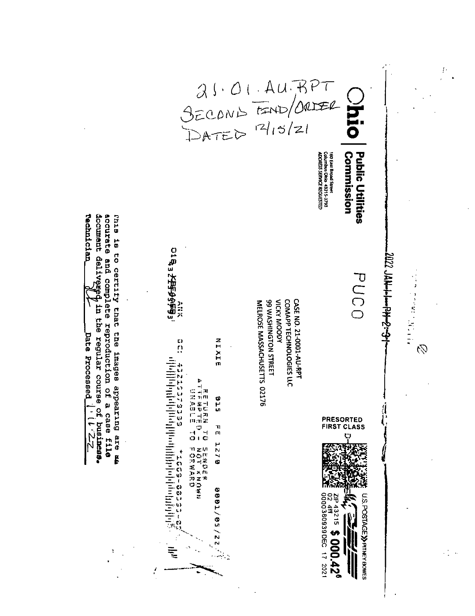$31.01. AU. BPT$ <br>SECOND TEND/ORDER 160 East Broad Street<br>Columbus Ohio 43215-3793<br>ADORESS SERVEE REQUESTED Commission **Public Utilities** document delivezed in the regular course of business.<br> **Technician**  $\frac{\partial f}{\partial x}$  in the regular course of business. accurate and complete reproduction of a case file this is to certify that the images appearing are an 016<sub>3</sub> 5999999 **1023 JAA-11-194-2-31** PUCO  $\label{eq:2} \begin{aligned} \mathcal{L}_{\text{eff}}^{\text{eff}}(\mathbf{J}) = \mathcal{L}_{\text{eff}}^{\text{eff}}(\mathbf{J}) + \mathcal{L}_{\text{eff}}^{\text{eff}}(\mathbf{J}) + \mathcal{L}_{\text{eff}}^{\text{eff}}(\mathbf{J}) \end{aligned}$ **99 WASHINGTON STREET VICKY MOODY** COMAPP TECHNOLOGIES LLC CASE NO. 21-0001-AU-RPT MELROSE MASSACHUSETTS 02176  $\mathbf{a}$ NIXIE Ç9 state of the property of the property of the property of the property of the property of the property of the p<br>المسابق المسابق المسابق المسابق المسابق المسابق المسابق المسابق المسابق المسابق المسابق المسابق المسابق المساب **OL STSVALD<br>P QBARALD<br>QL NYMARA** c t a **PRESORTED<br>FIRST CLASS FE 1270 こののアポルのいちには、その時、その時、そのうちには、そのことができる。** 0001/22/22 U.S. POSTAGE >> PITNEY BOWES  $\frac{20}{12}$  43215 \$ 000.42<sup>6</sup> 000380939DEC 17 2021  $\mathbf{I}$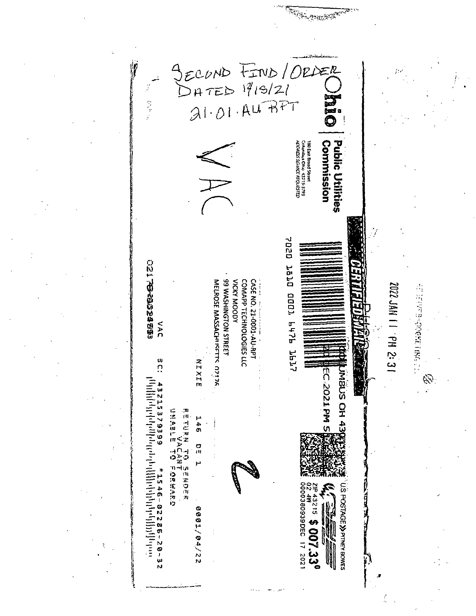